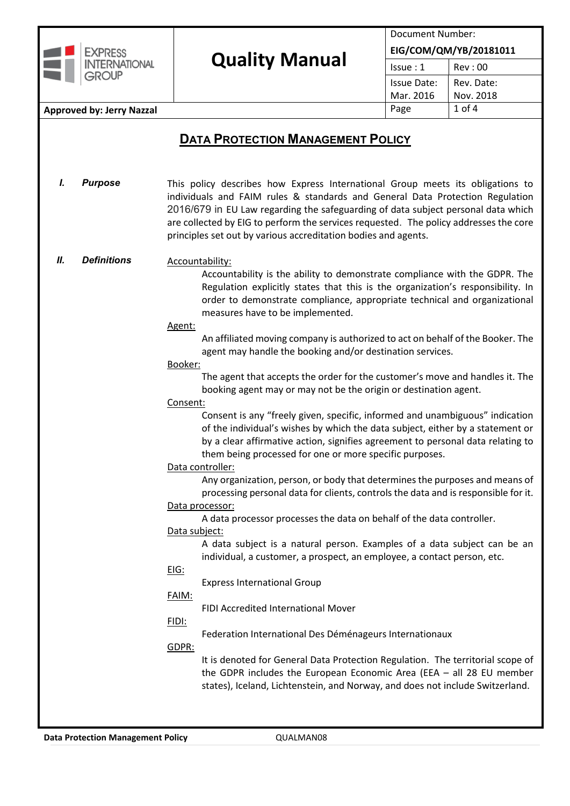

# Quality Manual **EIG/COM/QM/YB/20181011**

Document Number:

 $Is sue : 1$ 

# **Approved by: Jerry Nazzal Approved by: Jerry Nazzal** Page 1 of 4

# **DATA PROTECTION MANAGEMENT POLICY**

*I. Purpose* This policy describes how Express International Group meets its obligations to individuals and FAIM rules & standards and General Data Protection Regulation 2016/679 in EU Law regarding the safeguarding of data subject personal data which are collected by EIG to perform the services requested. The policy addresses the core principles set out by various accreditation bodies and agents.

#### *II. Definitions* Accountability:

Accountability is the ability to demonstrate compliance with the GDPR. The Regulation explicitly states that this is the organization's responsibility. In order to demonstrate compliance, appropriate technical and organizational measures have to be implemented.

#### Agent:

An affiliated moving company is authorized to act on behalf of the Booker. The agent may handle the booking and/or destination services.

#### Booker:

The agent that accepts the order for the customer's move and handles it. The booking agent may or may not be the origin or destination agent.

#### Consent:

Consent is any "freely given, specific, informed and unambiguous" indication of the individual's wishes by which the data subject, either by a statement or by a clear affirmative action, signifies agreement to personal data relating to them being processed for one or more specific purposes.

# Data controller:

Any organization, person, or body that determines the purposes and means of processing personal data for clients, controls the data and is responsible for it.

#### Data processor:

A data processor processes the data on behalf of the data controller.

# Data subject:

A data subject is a natural person. Examples of a data subject can be an individual, a customer, a prospect, an employee, a contact person, etc.

# EIG:

Express International Group

# FAIM:

FIDI Accredited International Mover

# FIDI:

Federation International Des Déménageurs Internationaux

# GDPR:

It is denoted for General Data Protection Regulation. The territorial scope of the GDPR includes the European Economic Area (EEA – all 28 EU member states), Iceland, Lichtenstein, and Norway, and does not include Switzerland.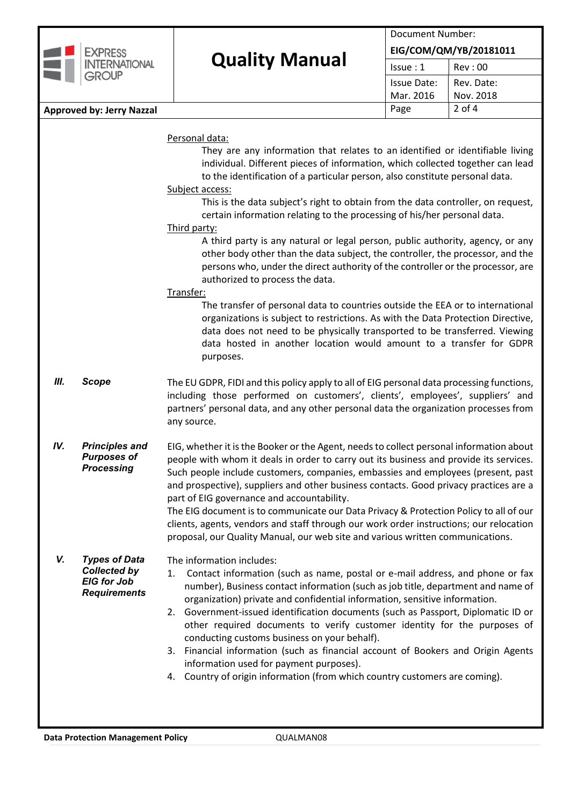| <b>EXPRESS</b><br><b>INTERNATIONAL</b>                                        | <b>Quality Manual</b> | Document Number:       |            |  |
|-------------------------------------------------------------------------------|-----------------------|------------------------|------------|--|
|                                                                               |                       | EIG/COM/QM/YB/20181011 |            |  |
|                                                                               |                       | Is sue:1               | Rev: 00    |  |
| <b>GROUP</b>                                                                  |                       | <b>Issue Date:</b>     | Rev. Date: |  |
|                                                                               |                       | Mar. 2016              | Nov. 2018  |  |
| <b>Approved by: Jerry Nazzal</b>                                              |                       | Page                   | $2$ of 4   |  |
|                                                                               | Personal data:        |                        |            |  |
| They are any information that relates to an identified or identifiable living |                       |                        |            |  |

individual. Different pieces of information, which collected together can lead to the identification of a particular person, also constitute personal data.

#### Subject access:

This is the data subject's right to obtain from the data controller, on request, certain information relating to the processing of his/her personal data.

# Third party:

A third party is any natural or legal person, public authority, agency, or any other body other than the data subject, the controller, the processor, and the persons who, under the direct authority of the controller or the processor, are authorized to process the data.

# Transfer:

The transfer of personal data to countries outside the EEA or to international organizations is subject to restrictions. As with the Data Protection Directive, data does not need to be physically transported to be transferred. Viewing data hosted in another location would amount to a transfer for GDPR purposes.

- *III.* **Scope** The EU GDPR, FIDI and this policy apply to all of EIG personal data processing functions, including those performed on customers', clients', employees', suppliers' and partners' personal data, and any other personal data the organization processes from any source.
- *IV. Principles and Purposes of Processing* EIG, whether it is the Booker or the Agent, needsto collect personal information about people with whom it deals in order to carry out its business and provide its services. Such people include customers, companies, embassies and employees (present, past and prospective), suppliers and other business contacts. Good privacy practices are a part of EIG governance and accountability.

The EIG document is to communicate our Data Privacy & Protection Policy to all of our clients, agents, vendors and staff through our work order instructions; our relocation proposal, our Quality Manual, our web site and various written communications.

#### *V. Types of Data Collected by EIG for Job Requirements*

The information includes:

- 1. Contact information (such as name, postal or e-mail address, and phone or fax number), Business contact information (such as job title, department and name of organization) private and confidential information, sensitive information.
- 2. Government-issued identification documents (such as Passport, Diplomatic ID or other required documents to verify customer identity for the purposes of conducting customs business on your behalf).
- 3. Financial information (such as financial account of Bookers and Origin Agents information used for payment purposes).
- 4. Country of origin information (from which country customers are coming).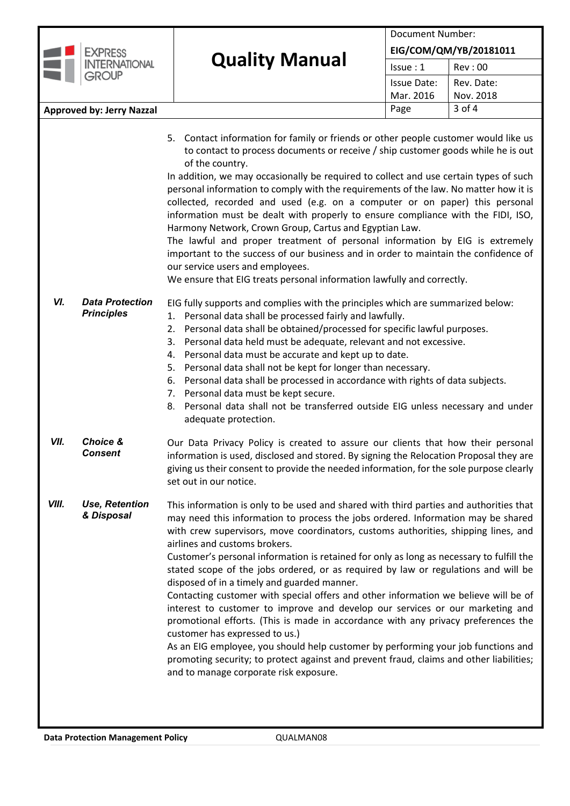| <b>EXPRESS</b>                                                                                                                                                                                                                                                                                                                                                                                                                                                                                                                                                                                           | <b>Quality Manual</b> | Document Number:<br>EIG/COM/QM/YB/20181011 |                         |  |  |
|----------------------------------------------------------------------------------------------------------------------------------------------------------------------------------------------------------------------------------------------------------------------------------------------------------------------------------------------------------------------------------------------------------------------------------------------------------------------------------------------------------------------------------------------------------------------------------------------------------|-----------------------|--------------------------------------------|-------------------------|--|--|
| <b>INTERNATIONAL</b>                                                                                                                                                                                                                                                                                                                                                                                                                                                                                                                                                                                     |                       | Is sue:1                                   | Rev: 00                 |  |  |
| <b>GROUP</b>                                                                                                                                                                                                                                                                                                                                                                                                                                                                                                                                                                                             |                       | <b>Issue Date:</b><br>Mar. 2016            | Rev. Date:<br>Nov. 2018 |  |  |
| <b>Approved by: Jerry Nazzal</b>                                                                                                                                                                                                                                                                                                                                                                                                                                                                                                                                                                         |                       | Page                                       | $3$ of 4                |  |  |
| 5. Contact information for family or friends or other people customer would like us<br>to contact to process documents or receive / ship customer goods while he is out<br>of the country.<br>In addition, we may occasionally be required to collect and use certain types of such<br>personal information to comply with the requirements of the law. No matter how it is<br>collected, recorded and used (e.g. on a computer or on paper) this personal<br>information must be dealt with properly to ensure compliance with the FIDI, ISO,<br>Harmony Network, Crown Group, Cartus and Egyptian Law. |                       |                                            |                         |  |  |

The lawful and proper treatment of personal information by EIG is extremely important to the success of our business and in order to maintain the confidence of our service users and employees.

We ensure that EIG treats personal information lawfully and correctly.

- *VI. Data Protection Principles* EIG fully supports and complies with the principles which are summarized below: 1. Personal data shall be processed fairly and lawfully. 2. Personal data shall be obtained/processed for specific lawful purposes.
	- 3. Personal data held must be adequate, relevant and not excessive.
	- 4. Personal data must be accurate and kept up to date.
	- 5. Personal data shall not be kept for longer than necessary.
	- 6. Personal data shall be processed in accordance with rights of data subjects.
	- 7. Personal data must be kept secure.
	- 8. Personal data shall not be transferred outside EIG unless necessary and under adequate protection.
- *VII. Choice & Consent* Our Data Privacy Policy is created to assure our clients that how their personal information is used, disclosed and stored. By signing the Relocation Proposal they are giving us their consent to provide the needed information, for the sole purpose clearly set out in our notice.
- *VIII. Use, Retention & Disposal* This information is only to be used and shared with third parties and authorities that may need this information to process the jobs ordered. Information may be shared with crew supervisors, move coordinators, customs authorities, shipping lines, and airlines and customs brokers.

Customer's personal information is retained for only as long as necessary to fulfill the stated scope of the jobs ordered, or as required by law or regulations and will be disposed of in a timely and guarded manner.

Contacting customer with special offers and other information we believe will be of interest to customer to improve and develop our services or our marketing and promotional efforts. (This is made in accordance with any privacy preferences the customer has expressed to us.)

As an EIG employee, you should help customer by performing your job functions and promoting security; to protect against and prevent fraud, claims and other liabilities; and to manage corporate risk exposure.